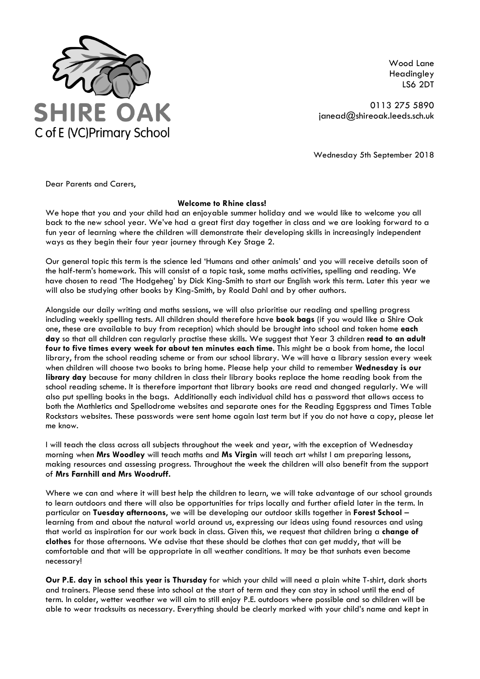

Wood Lane Headingley LS6 2DT

0113 275 5890 janead@shireoak.leeds.sch.uk

Wednesday 5th September 2018

Dear Parents and Carers,

## **Welcome to Rhine class!**

We hope that you and your child had an enjoyable summer holiday and we would like to welcome you all back to the new school year. We've had a great first day together in class and we are looking forward to a fun year of learning where the children will demonstrate their developing skills in increasingly independent ways as they begin their four year journey through Key Stage 2.

Our general topic this term is the science led 'Humans and other animals' and you will receive details soon of the half-term's homework. This will consist of a topic task, some maths activities, spelling and reading. We have chosen to read 'The Hodgeheg' by Dick King-Smith to start our English work this term. Later this year we will also be studying other books by King-Smith, by Roald Dahl and by other authors.

Alongside our daily writing and maths sessions, we will also prioritise our reading and spelling progress including weekly spelling tests. All children should therefore have **book bags** (if you would like a Shire Oak one, these are available to buy from reception) which should be brought into school and taken home **each day** so that all children can regularly practise these skills. We suggest that Year 3 children **read to an adult four to five times every week for about ten minutes each time**. This might be a book from home, the local library, from the school reading scheme or from our school library. We will have a library session every week when children will choose two books to bring home. Please help your child to remember **Wednesday is our library day** because for many children in class their library books replace the home reading book from the school reading scheme. It is therefore important that library books are read and changed regularly. We will also put spelling books in the bags. Additionally each individual child has a password that allows access to both the Mathletics and Spellodrome websites and separate ones for the Reading Eggspress and Times Table Rockstars websites. These passwords were sent home again last term but if you do not have a copy, please let me know.

I will teach the class across all subjects throughout the week and year, with the exception of Wednesday morning when **Mrs Woodley** will teach maths and **Ms Virgin** will teach art whilst I am preparing lessons, making resources and assessing progress. Throughout the week the children will also benefit from the support of **Mrs Farnhill and Mrs Woodruff.**

Where we can and where it will best help the children to learn, we will take advantage of our school grounds to learn outdoors and there will also be opportunities for trips locally and further afield later in the term. In particular on **Tuesday afternoons**, we will be developing our outdoor skills together in **Forest School** – learning from and about the natural world around us, expressing our ideas using found resources and using that world as inspiration for our work back in class. Given this, we request that children bring a **change of clothes** for those afternoons. We advise that these should be clothes that can get muddy, that will be comfortable and that will be appropriate in all weather conditions. It may be that sunhats even become necessary!

**Our P.E. day in school this year is Thursday** for which your child will need a plain white T-shirt, dark shorts and trainers. Please send these into school at the start of term and they can stay in school until the end of term. In colder, wetter weather we will aim to still enjoy P.E. outdoors where possible and so children will be able to wear tracksuits as necessary. Everything should be clearly marked with your child's name and kept in